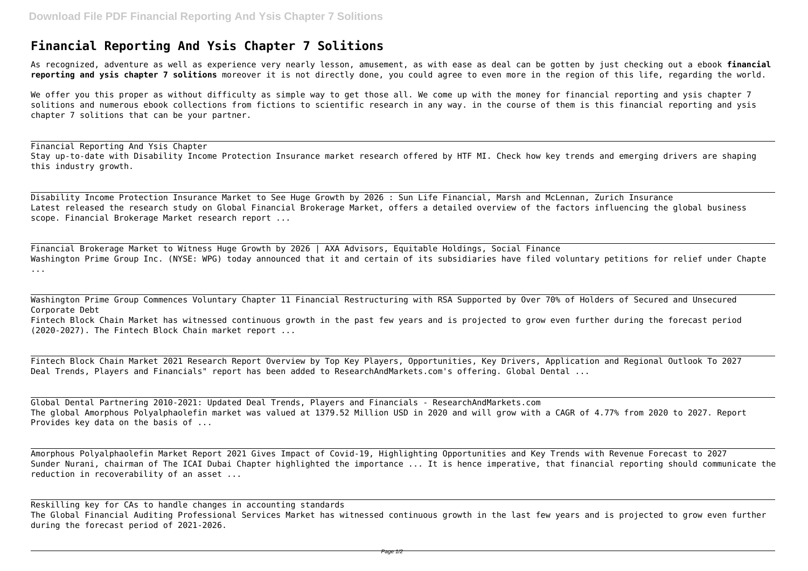## **Financial Reporting And Ysis Chapter 7 Solitions**

As recognized, adventure as well as experience very nearly lesson, amusement, as with ease as deal can be gotten by just checking out a ebook **financial reporting and ysis chapter 7 solitions** moreover it is not directly done, you could agree to even more in the region of this life, regarding the world.

We offer you this proper as without difficulty as simple way to get those all. We come up with the money for financial reporting and ysis chapter 7 solitions and numerous ebook collections from fictions to scientific research in any way. in the course of them is this financial reporting and ysis chapter 7 solitions that can be your partner.

Financial Reporting And Ysis Chapter Stay up-to-date with Disability Income Protection Insurance market research offered by HTF MI. Check how key trends and emerging drivers are shaping this industry growth.

Disability Income Protection Insurance Market to See Huge Growth by 2026 : Sun Life Financial, Marsh and McLennan, Zurich Insurance Latest released the research study on Global Financial Brokerage Market, offers a detailed overview of the factors influencing the global business scope. Financial Brokerage Market research report ...

Financial Brokerage Market to Witness Huge Growth by 2026 | AXA Advisors, Equitable Holdings, Social Finance Washington Prime Group Inc. (NYSE: WPG) today announced that it and certain of its subsidiaries have filed voluntary petitions for relief under Chapte ...

Washington Prime Group Commences Voluntary Chapter 11 Financial Restructuring with RSA Supported by Over 70% of Holders of Secured and Unsecured Corporate Debt Fintech Block Chain Market has witnessed continuous growth in the past few years and is projected to grow even further during the forecast period (2020-2027). The Fintech Block Chain market report ...

Fintech Block Chain Market 2021 Research Report Overview by Top Key Players, Opportunities, Key Drivers, Application and Regional Outlook To 2027 Deal Trends, Players and Financials" report has been added to ResearchAndMarkets.com's offering. Global Dental ...

Global Dental Partnering 2010-2021: Updated Deal Trends, Players and Financials - ResearchAndMarkets.com The global Amorphous Polyalphaolefin market was valued at 1379.52 Million USD in 2020 and will grow with a CAGR of 4.77% from 2020 to 2027. Report Provides key data on the basis of ...

Amorphous Polyalphaolefin Market Report 2021 Gives Impact of Covid-19, Highlighting Opportunities and Key Trends with Revenue Forecast to 2027 Sunder Nurani, chairman of The ICAI Dubai Chapter highlighted the importance ... It is hence imperative, that financial reporting should communicate the reduction in recoverability of an asset ...

Reskilling key for CAs to handle changes in accounting standards The Global Financial Auditing Professional Services Market has witnessed continuous growth in the last few years and is projected to grow even further during the forecast period of 2021-2026.